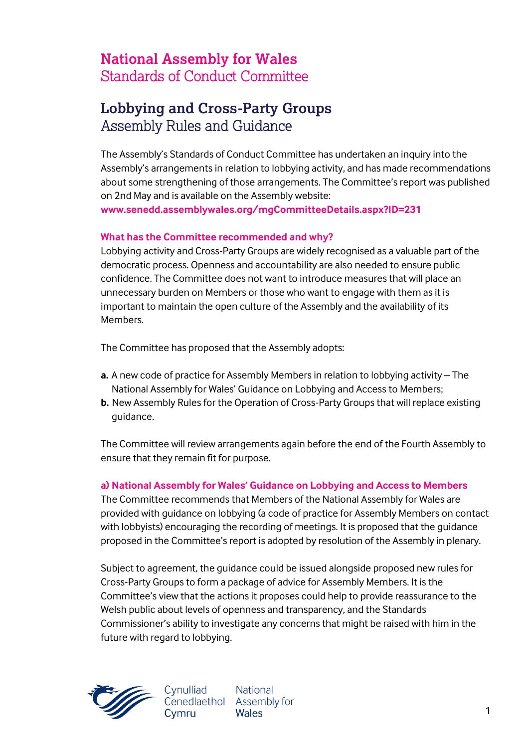# **National Assembly for Wales** Standards of Conduct Committee

# **Lobbying and Cross-Party Groups** Assembly Rules and Guidance

The Assembly's Standards of Conduct Committee has undertaken an inquiry into the Assembly's arrangements in relation to lobbying activity, and has made recommendations about some strengthening of those arrangements. The Committee's report was published on 2nd May and is available on the Assembly website: **[www.senedd.assemblywales.org/mgCommitteeDetails.aspx?ID=231](http://www.senedd.assemblywales.org/mgCommitteeDetails.aspx?ID=231)**

**What has the Committee recommended and why?**

# Lobbying activity and Cross-Party Groups are widely recognised as a valuable part of the democratic process. Openness and accountability are also needed to ensure public confidence. The Committee does not want to introduce measures that will place an unnecessary burden on Members or those who want to engage with them as it is important to maintain the open culture of the Assembly and the availability of its Members.

The Committee has proposed that the Assembly adopts:

- **a.** A new code of practice for Assembly Members in relation to lobbying activity The National Assembly for Wales' Guidance on Lobbying and Access to Members;
- **b.** New Assembly Rules for the Operation of Cross-Party Groups that will replace existing guidance.

The Committee will review arrangements again before the end of the Fourth Assembly to ensure that they remain fit for purpose.

## **a) National Assembly for Wales' Guidance on Lobbying and Access to Members**

The Committee recommends that Members of the National Assembly for Wales are provided with guidance on lobbying (a code of practice for Assembly Members on contact with lobbyists) encouraging the recording of meetings. It is proposed that the guidance proposed in the Committee's report is adopted by resolution of the Assembly in plenary.

Subject to agreement, the guidance could be issued alongside proposed new rules for Cross-Party Groups to form a package of advice for Assembly Members. It is the Committee's view that the actions it proposes could help to provide reassurance to the Welsh public about levels of openness and transparency, and the Standards Commissioner's ability to investigate any concerns that might be raised with him in the future with regard to lobbying.



**National** Cynulliad Cenedlaethol Assembly for Cvmru **Wales**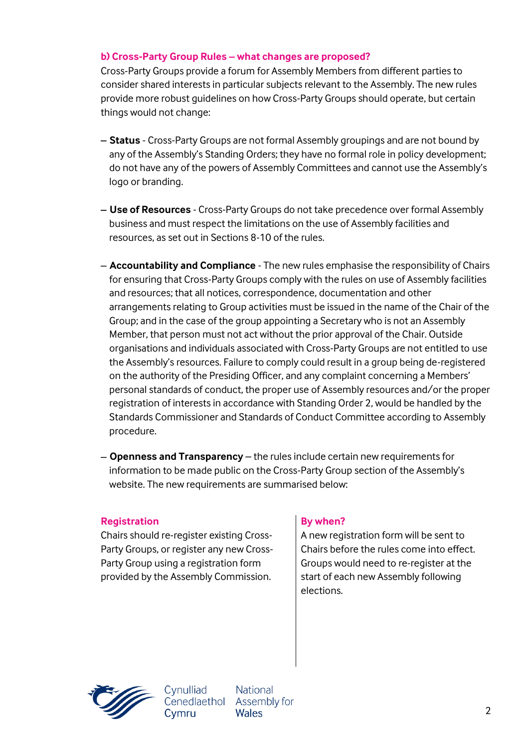## **b) Cross-Party Group Rules – what changes are proposed?**

Cross-Party Groups provide a forum for Assembly Members from different parties to consider shared interests in particular subjects relevant to the Assembly. The new rules provide more robust guidelines on how Cross-Party Groups should operate, but certain things would not change:

- **Status** Cross-Party Groups are not formal Assembly groupings and are not bound by any of the Assembly's Standing Orders; they have no formal role in policy development; do not have any of the powers of Assembly Committees and cannot use the Assembly's logo or branding.
- **Use of Resources** Cross-Party Groups do not take precedence over formal Assembly business and must respect the limitations on the use of Assembly facilities and resources, as set out in Sections 8-10 of the rules.
- **Accountability and Compliance** The new rules emphasise the responsibility of Chairs for ensuring that Cross-Party Groups comply with the rules on use of Assembly facilities and resources; that all notices, correspondence, documentation and other arrangements relating to Group activities must be issued in the name of the Chair of the Group; and in the case of the group appointing a Secretary who is not an Assembly Member, that person must not act without the prior approval of the Chair. Outside organisations and individuals associated with Cross-Party Groups are not entitled to use the Assembly's resources. Failure to comply could result in a group being de-registered on the authority of the Presiding Officer, and any complaint concerning a Members' personal standards of conduct, the proper use of Assembly resources and/or the proper registration of interests in accordance with Standing Order 2, would be handled by the Standards Commissioner and Standards of Conduct Committee according to Assembly procedure.
- **Openness and Transparency** the rules include certain new requirements for information to be made public on the Cross-Party Group section of the Assembly's website. The new requirements are summarised below:

### **Registration By when?**

Chairs should re-register existing Cross-Party Groups, or register any new Cross-Party Group using a registration form provided by the Assembly Commission.

Cynulliad

Cvmru

A new registration form will be sent to Chairs before the rules come into effect. Groups would need to re-register at the start of each new Assembly following elections.



**National** Cenedlaethol Assembly for **Wales**